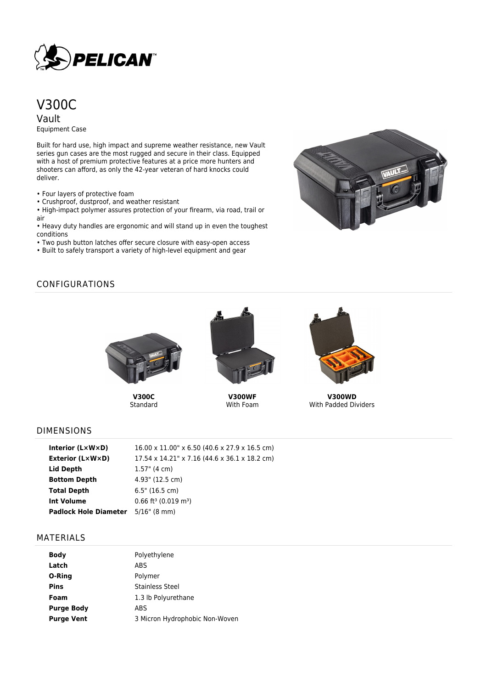

# V300C

Vault Equipment Case

Built for hard use, high impact and supreme weather resistance, new Vault series gun cases are the most rugged and secure in their class. Equipped with a host of premium protective features at a price more hunters and shooters can afford, as only the 42-year veteran of hard knocks could deliver.

- Four layers of protective foam
- Crushproof, dustproof, and weather resistant

• High-impact polymer assures protection of your firearm, via road, trail or air

• Heavy duty handles are ergonomic and will stand up in even the toughest conditions

- Two push button latches offer secure closure with easy-open access
- Built to safely transport a variety of high-level equipment and gear



## CONFIGURATIONS



**V300C** Standard



**V300WF** With Foam



**V300WD** With Padded Dividers

### DIMENSIONS

| Interior (LxWxD)                          | 16.00 x 11.00" x 6.50 (40.6 x 27.9 x 16.5 cm)  |
|-------------------------------------------|------------------------------------------------|
| <b>Exterior (L×W×D)</b>                   | 17.54 x 14.21" x 7.16 (44.6 x 36.1 x 18.2 cm)  |
| Lid Depth                                 | $1.57$ " (4 cm)                                |
| <b>Bottom Depth</b>                       | 4.93" (12.5 cm)                                |
| <b>Total Depth</b>                        | 6.5" (16.5 cm)                                 |
| Int Volume                                | $0.66$ ft <sup>3</sup> (0.019 m <sup>3</sup> ) |
| <b>Padlock Hole Diameter</b> 5/16" (8 mm) |                                                |

#### MATERIALS

| Body              | Polyethylene                   |
|-------------------|--------------------------------|
| Latch             | ABS                            |
| O-Ring            | Polymer                        |
| Pins              | Stainless Steel                |
| Foam              | 1.3 lb Polyurethane            |
| <b>Purge Body</b> | ABS                            |
| <b>Purge Vent</b> | 3 Micron Hydrophobic Non-Woven |